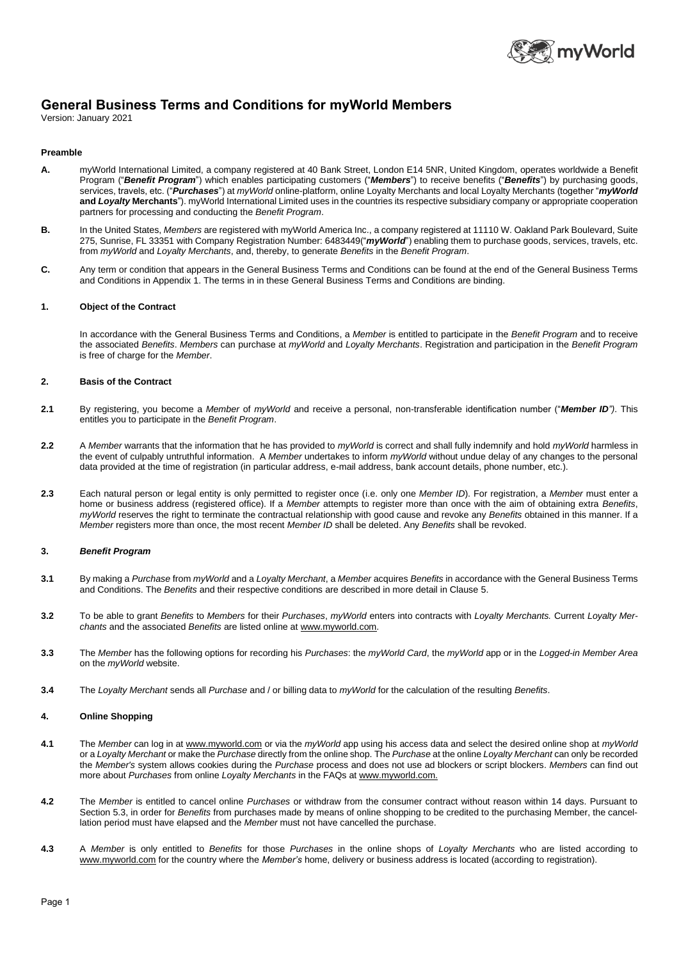

# **General Business Terms and Conditions for myWorld Members**

Version: January 2021

### **Preamble**

- **A.** myWorld International Limited, a company registered at 40 Bank Street, London E14 5NR, United Kingdom, operates worldwide a Benefit Program ("*Benefit Program*") which enables participating customers ("*Members*") to receive benefits ("*Benefits*") by purchasing goods, services, travels, etc. ("*Purchases*") at *myWorld* online-platform, online Loyalty Merchants and local Loyalty Merchants (together "*myWorld* **and** *Loyalty* **Merchants**"). myWorld International Limited uses in the countries its respective subsidiary company or appropriate cooperation partners for processing and conducting the *Benefit Program*.
- **B.** In the United States, *Members* are registered with myWorld America Inc., a company registered at 11110 W. Oakland Park Boulevard, Suite 275, Sunrise, FL 33351 with Company Registration Number: 6483449("*myWorld*") enabling them to purchase goods, services, travels, etc. from *myWorld* and *Loyalty Merchants*, and, thereby, to generate *Benefits* in the *Benefit Program*.
- **C.** Any term or condition that appears in the General Business Terms and Conditions can be found at the end of the General Business Terms and Conditions in Appendix 1. The terms in in these General Business Terms and Conditions are binding.

## **1. Object of the Contract**

In accordance with the General Business Terms and Conditions, a *Member* is entitled to participate in the *Benefit Program* and to receive the associated *Benefits*. *Members* can purchase at *myWorld* and *Loyalty Merchants*. Registration and participation in the *Benefit Program* is free of charge for the *Member*.

# **2. Basis of the Contract**

- **2.1** By registering, you become a *Member* of *myWorld* and receive a personal, non-transferable identification number ("*Member ID")*. This entitles you to participate in the *Benefit Program*.
- **2.2** A *Member* warrants that the information that he has provided to *myWorld* is correct and shall fully indemnify and hold *myWorld* harmless in the event of culpably untruthful information. A *Member* undertakes to inform *myWorld* without undue delay of any changes to the personal data provided at the time of registration (in particular address, e-mail address, bank account details, phone number, etc.).
- **2.3** Each natural person or legal entity is only permitted to register once (i.e. only one *Member ID*). For registration, a *Member* must enter a home or business address (registered office). If a *Member* attempts to register more than once with the aim of obtaining extra *Benefits*, *myWorld* reserves the right to terminate the contractual relationship with good cause and revoke any *Benefits* obtained in this manner. If a *Member* registers more than once, the most recent *Member ID* shall be deleted. Any *Benefits* shall be revoked.

## **3.** *Benefit Program*

- **3.1** By making a *Purchase* from *myWorld* and a *Loyalty Merchant*, a *Member* acquires *Benefits* in accordance with the General Business Terms and Conditions. The *Benefits* and their respective conditions are described in more detail in Clause 5.
- **3.2** To be able to grant *Benefits* to *Members* for their *Purchases*, *myWorld* enters into contracts with *Loyalty Merchants.* Current *Loyalty Merchants* and the associated *Benefits* are listed online at www.myworld.com.
- **3.3** The *Member* has the following options for recording his *Purchases*: the *myWorld Card*, the *myWorld* app or in the *Logged-in Member Area* on the *myWorld* website.
- **3.4** The *Loyalty Merchant* sends all *Purchase* and / or billing data to *myWorld* for the calculation of the resulting *Benefits*.

# **4. Online Shopping**

- **4.1** The *Member* can log in at www.myworld.com or via the *myWorld* app using his access data and select the desired online shop at *myWorld* or a *Loyalty Merchant* or make the *Purchase* directly from the online shop. The *Purchase* at the online *Loyalty Merchant* can only be recorded the *Member's* system allows cookies during the *Purchase* process and does not use ad blockers or script blockers. *Members* can find out more about *Purchases* from online *Loyalty Merchants* in the FAQs at www.myworld.com.
- **4.2** The *Member* is entitled to cancel online *Purchases* or withdraw from the consumer contract without reason within 14 days. Pursuant to Section 5.3, in order for *Benefits* from purchases made by means of online shopping to be credited to the purchasing Member, the cancellation period must have elapsed and the *Member* must not have cancelled the purchase.
- **4.3** A *Member* is only entitled to *Benefits* for those *Purchases* in the online shops of *Loyalty Merchants* who are listed according to www.myworld.com for the country where the *Member's* home, delivery or business address is located (according to registration).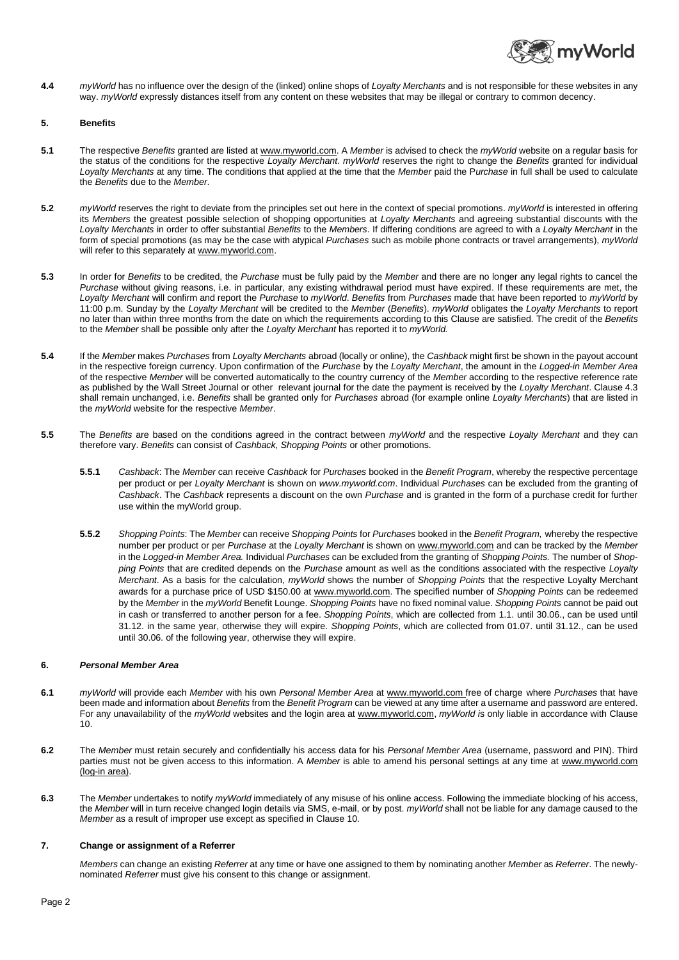

**4.4** *myWorld* has no influence over the design of the (linked) online shops of *Loyalty Merchants* and is not responsible for these websites in any way. *myWorld* expressly distances itself from any content on these websites that may be illegal or contrary to common decency.

### **5. Benefits**

- **5.1** The respective *Benefits* granted are listed at www.myworld.com. A *Member* is advised to check the *myWorld* website on a regular basis for the status of the conditions for the respective *Loyalty Merchant*. *myWorld* reserves the right to change the *Benefits* granted for individual *Loyalty Merchants* at any time. The conditions that applied at the time that the *Member* paid the P*urchase* in full shall be used to calculate the *Benefits* due to the *Member*.
- **5.2** *myWorld* reserves the right to deviate from the principles set out here in the context of special promotions. *myWorld* is interested in offering its *Members* the greatest possible selection of shopping opportunities at *Loyalty Merchants* and agreeing substantial discounts with the *Loyalty Merchants* in order to offer substantial *Benefits* to the *Members*. If differing conditions are agreed to with a *Loyalty Merchant* in the form of special promotions (as may be the case with atypical *Purchases* such as mobile phone contracts or travel arrangements), *myWorld* will refer to this separately at www.myworld.com.
- **5.3** In order for *Benefits* to be credited, the *Purchase* must be fully paid by the *Member* and there are no longer any legal rights to cancel the *Purchase* without giving reasons, i.e. in particular, any existing withdrawal period must have expired. If these requirements are met, the *Loyalty Merchant* will confirm and report the *Purchase* to *myWorld*. *Benefits* from *Purchases* made that have been reported to *myWorld* by 11:00 p.m. Sunday by the *Loyalty Merchant* will be credited to the *Member* (*Benefits*). *myWorld* obligates the *Loyalty Merchants* to report no later than within three months from the date on which the requirements according to this Clause are satisfied. The credit of the *Benefits* to the *Member* shall be possible only after the *Loyalty Merchant* has reported it to *myWorld.*
- **5.4** If the *Member* makes *Purchases* from *Loyalty Merchants* abroad (locally or online), the *Cashback* might first be shown in the payout account in the respective foreign currency. Upon confirmation of the *Purchase* by the *Loyalty Merchant*, the amount in the *Logged-in Member Area*  of the respective *Member* will be converted automatically to the country currency of the *Member* according to the respective reference rate as published by the Wall Street Journal or other relevant journal for the date the payment is received by the *Loyalty Merchant*. Clause 4.3 shall remain unchanged, i.e. *Benefits* shall be granted only for *Purchases* abroad (for example online *Loyalty Merchants*) that are listed in the *myWorld* website for the respective *Member*.
- **5.5** The *Benefits* are based on the conditions agreed in the contract between *myWorld* and the respective *Loyalty Merchant* and they can therefore vary. *Benefits* can consist of *Cashback, Shopping Points* or other promotions.
	- **5.5.1** *Cashback*: The *Member* can receive *Cashback* for *Purchases* booked in the *Benefit Program*, whereby the respective percentage per product or per *Loyalty Merchant* is shown on *www.myworld.com*. Individual *Purchases* can be excluded from the granting of *Cashback*. The *Cashback* represents a discount on the own *Purchase* and is granted in the form of a purchase credit for further use within the myWorld group.
	- **5.5.2** *Shopping Points*: The *Member* can receive *Shopping Points* for *Purchases* booked in the *Benefit Program,* whereby the respective number per product or per *Purchase* at the *Loyalty Merchant* is shown on www.myworld.com and can be tracked by the *Member* in the *Logged-in Member Area.* Individual *Purchases* can be excluded from the granting of *Shopping Points.* The number of *Shopping Points* that are credited depends on the *Purchase* amount as well as the conditions associated with the respective *Loyalty Merchant*. As a basis for the calculation, *myWorld* shows the number of *Shopping Points* that the respective Loyalty Merchant awards for a purchase price of USD \$150.00 at www.myworld.com. The specified number of *Shopping Points* can be redeemed by the *Member* in the *myWorld* Benefit Lounge. *Shopping Points* have no fixed nominal value. *Shopping Points* cannot be paid out in cash or transferred to another person for a fee. *Shopping Points*, which are collected from 1.1. until 30.06., can be used until 31.12. in the same year, otherwise they will expire. *Shopping Points*, which are collected from 01.07. until 31.12., can be used until 30.06. of the following year, otherwise they will expire.

## **6.** *Personal Member Area*

- **6.1** *myWorld* will provide each *Member* with his own *Personal Member Area* at www.myworld.com free of charge where *Purchases* that have been made and information about *Benefits* from the *Benefit Program* can be viewed at any time after a username and password are entered. For any unavailability of the *myWorld* websites and the login area at www.myworld.com, *myWorld i*s only liable in accordance with Clause 10.
- **6.2** The *Member* must retain securely and confidentially his access data for his *Personal Member Area* (username, password and PIN). Third parties must not be given access to this information. A *Member* is able to amend his personal settings at any time at www.myworld.com (log-in area).
- **6.3** The *Member* undertakes to notify *myWorld* immediately of any misuse of his online access. Following the immediate blocking of his access, the *Member* will in turn receive changed login details via SMS, e-mail, or by post. *myWorld* shall not be liable for any damage caused to the *Member* as a result of improper use except as specified in Clause 10.

## **7. Change or assignment of a Referrer**

*Members* can change an existing *Referrer* at any time or have one assigned to them by nominating another *Member* as *Referrer*. The newlynominated *Referrer* must give his consent to this change or assignment.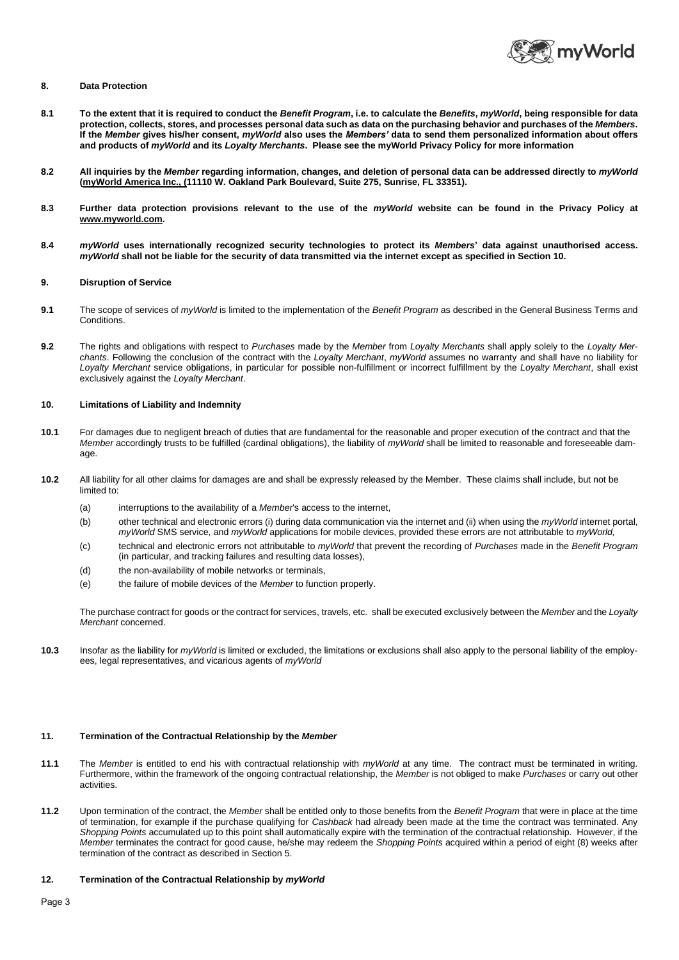

#### **8. Data Protection**

- **8.1 To the extent that it is required to conduct the** *Benefit Program***, i.e. to calculate the** *Benefits***,** *myWorld***, being responsible for data protection, collects, stores, and processes personal data such as data on the purchasing behavior and purchases of the** *Members***. If the** *Member* **gives his/her consent,** *myWorld* **also uses the** *Members'* **data to send them personalized information about offers and products of** *myWorld* **and its** *Loyalty Merchants***.****Please see the myWorld Privacy Policy for more information**
- **8.2 All inquiries by the** *Member* **regarding information, changes, and deletion of personal data can be addressed directly to** *myWorld* **(myWorld America Inc., (11110 W. Oakland Park Boulevard, Suite 275, Sunrise, FL 33351).**
- **8.3 Further data protection provisions relevant to the use of the** *myWorld* **website can be found in the Privacy Policy at www.myworld.com.**
- **8.4** *myWorld* **uses internationally recognized security technologies to protect its** *Members***' data against unauthorised access.**  *myWorld* **shall not be liable for the security of data transmitted via the internet except as specified in Section 10.**

## **9. Disruption of Service**

- **9.1** The scope of services of *myWorld* is limited to the implementation of the *Benefit Program* as described in the General Business Terms and Conditions.
- **9.2** The rights and obligations with respect to *Purchases* made by the *Member* from *Loyalty Merchants* shall apply solely to the *Loyalty Merchants*. Following the conclusion of the contract with the *Loyalty Merchant*, *myWorld* assumes no warranty and shall have no liability for *Loyalty Merchant* service obligations, in particular for possible non-fulfillment or incorrect fulfillment by the *Loyalty Merchant*, shall exist exclusively against the *Loyalty Merchant*.

#### **10. Limitations of Liability and Indemnity**

- **10.1** For damages due to negligent breach of duties that are fundamental for the reasonable and proper execution of the contract and that the *Member* accordingly trusts to be fulfilled (cardinal obligations), the liability of *myWorld* shall be limited to reasonable and foreseeable damage.
- **10.2** All liability for all other claims for damages are and shall be expressly released by the Member. These claims shall include, but not be limited to:
	- (a) interruptions to the availability of a *Member*'s access to the internet,
	- (b) other technical and electronic errors (i) during data communication via the internet and (ii) when using the *myWorld* internet portal, *myWorld* SMS service, and *myWorld* applications for mobile devices, provided these errors are not attributable to *myWorld,*
	- (c) technical and electronic errors not attributable to *myWorld* that prevent the recording of *Purchases* made in the *Benefit Program* (in particular, and tracking failures and resulting data losses),
	- (d) the non-availability of mobile networks or terminals
	- (e) the failure of mobile devices of the *Member* to function properly.

The purchase contract for goods or the contract for services, travels, etc. shall be executed exclusively between the *Member* and the *Loyalty Merchant* concerned.

**10.3** Insofar as the liability for *myWorld* is limited or excluded, the limitations or exclusions shall also apply to the personal liability of the employees, legal representatives, and vicarious agents of *myWorld*

### **11. Termination of the Contractual Relationship by the** *Member*

- **11.1** The *Member* is entitled to end his with contractual relationship with *myWorld* at any time. The contract must be terminated in writing. Furthermore, within the framework of the ongoing contractual relationship, the *Member* is not obliged to make *Purchases* or carry out other activities.
- **11.2** Upon termination of the contract, the *Member* shall be entitled only to those benefits from the *Benefit Program* that were in place at the time of termination, for example if the purchase qualifying for *Cashback* had already been made at the time the contract was terminated. Any *Shopping Points* accumulated up to this point shall automatically expire with the termination of the contractual relationship. However, if the *Member* terminates the contract for good cause, he/she may redeem the *Shopping Points* acquired within a period of eight (8) weeks after termination of the contract as described in Section 5.

#### **12. Termination of the Contractual Relationship by** *myWorld*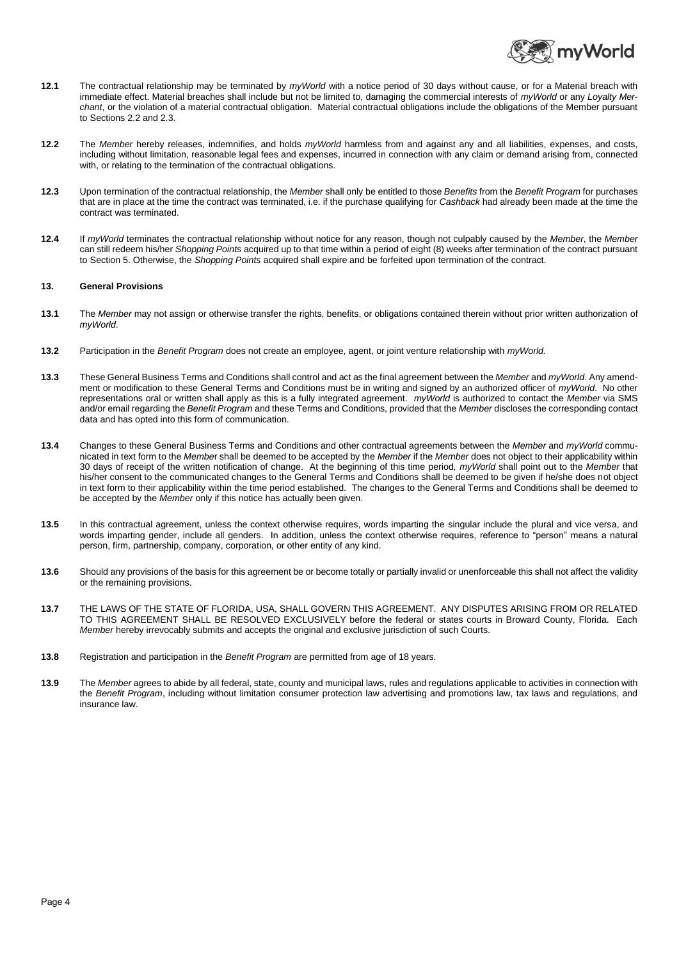

- **12.1** The contractual relationship may be terminated by *myWorld* with a notice period of 30 days without cause, or for a Material breach with immediate effect. Material breaches shall include but not be limited to, damaging the commercial interests of *myWorld* or any *Loyalty Merchant*, or the violation of a material contractual obligation. Material contractual obligations include the obligations of the Member pursuant to Sections 2.2 and 2.3.
- **12.2** The *Member* hereby releases, indemnifies, and holds *myWorld* harmless from and against any and all liabilities, expenses, and costs, including without limitation, reasonable legal fees and expenses, incurred in connection with any claim or demand arising from, connected with, or relating to the termination of the contractual obligations.
- **12.3** Upon termination of the contractual relationship, the *Member* shall only be entitled to those *Benefits* from the *Benefit Program* for purchases that are in place at the time the contract was terminated, i.e. if the purchase qualifying for *Cashback* had already been made at the time the contract was terminated.
- **12.4** If *myWorld* terminates the contractual relationship without notice for any reason, though not culpably caused by the *Member*, the *Member* can still redeem his/her *Shopping Points* acquired up to that time within a period of eight (8) weeks after termination of the contract pursuant to Section 5. Otherwise, the *Shopping Points* acquired shall expire and be forfeited upon termination of the contract.

### **13. General Provisions**

- **13.1** The *Member* may not assign or otherwise transfer the rights, benefits, or obligations contained therein without prior written authorization of *myWorld*.
- **13.2** Participation in the *Benefit Program* does not create an employee, agent, or joint venture relationship with *myWorld.*
- **13.3** These General Business Terms and Conditions shall control and act as the final agreement between the *Member* and *myWorld*. Any amendment or modification to these General Terms and Conditions must be in writing and signed by an authorized officer of *myWorld*. No other representations oral or written shall apply as this is a fully integrated agreement. *myWorld* is authorized to contact the *Member* via SMS and/or email regarding the *Benefit Program* and these Terms and Conditions, provided that the *Member* discloses the corresponding contact data and has opted into this form of communication.
- **13.4** Changes to these General Business Terms and Conditions and other contractual agreements between the *Member* and *myWorld* communicated in text form to the *Membe*r shall be deemed to be accepted by the *Member* if the *Member* does not object to their applicability within 30 days of receipt of the written notification of change. At the beginning of this time period, *myWorld* shall point out to the *Member* that his/her consent to the communicated changes to the General Terms and Conditions shall be deemed to be given if he/she does not object in text form to their applicability within the time period established. The changes to the General Terms and Conditions shall be deemed to be accepted by the *Member* only if this notice has actually been given.
- **13.5** In this contractual agreement, unless the context otherwise requires, words imparting the singular include the plural and vice versa, and words imparting gender, include all genders. In addition, unless the context otherwise requires, reference to "person" means a natural person, firm, partnership, company, corporation, or other entity of any kind.
- **13.6** Should any provisions of the basis for this agreement be or become totally or partially invalid or unenforceable this shall not affect the validity or the remaining provisions.
- **13.7** THE LAWS OF THE STATE OF FLORIDA, USA, SHALL GOVERN THIS AGREEMENT. ANY DISPUTES ARISING FROM OR RELATED TO THIS AGREEMENT SHALL BE RESOLVED EXCLUSIVELY before the federal or states courts in Broward County, Florida. Each *Member* hereby irrevocably submits and accepts the original and exclusive jurisdiction of such Courts.
- **13.8** Registration and participation in the *Benefit Program* are permitted from age of 18 years.
- **13.9** The *Member* agrees to abide by all federal, state, county and municipal laws, rules and regulations applicable to activities in connection with the *Benefit Program*, including without limitation consumer protection law advertising and promotions law, tax laws and regulations, and insurance law.